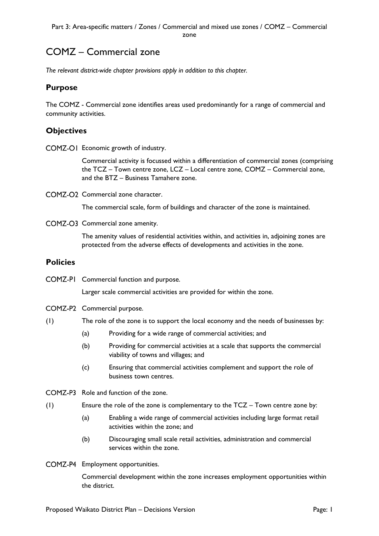# COMZ – Commercial zone

*The relevant district-wide chapter provisions apply in addition to this chapter.*

# **Purpose**

The COMZ - Commercial zone identifies areas used predominantly for a range of commercial and community activities.

# **Objectives**

COMZ-O1 Economic growth of industry.

Commercial activity is focussed within a differentiation of commercial zones (comprising the TCZ – Town centre zone, LCZ – Local centre zone, COMZ – Commercial zone, and the BTZ – Business Tamahere zone.

COMZ-O<sub>2</sub> Commercial zone character.

The commercial scale, form of buildings and character of the zone is maintained.

COMZ-O3 Commercial zone amenity.

The amenity values of residential activities within, and activities in, adjoining zones are protected from the adverse effects of developments and activities in the zone.

## **Policies**

COMZ-PI Commercial function and purpose.

Larger scale commercial activities are provided for within the zone.

- COMZ-P2 Commercial purpose.
- (1) The role of the zone is to support the local economy and the needs of businesses by:
	- (a) Providing for a wide range of commercial activities; and
	- (b) Providing for commercial activities at a scale that supports the commercial viability of towns and villages; and
	- (c) Ensuring that commercial activities complement and support the role of business town centres.
- COMZ-P3 Role and function of the zone.
- (1) Ensure the role of the zone is complementary to the TCZ Town centre zone by:
	- (a) Enabling a wide range of commercial activities including large format retail activities within the zone; and
	- (b) Discouraging small scale retail activities, administration and commercial services within the zone.
- COMZ-P4 Employment opportunities.

Commercial development within the zone increases employment opportunities within the district.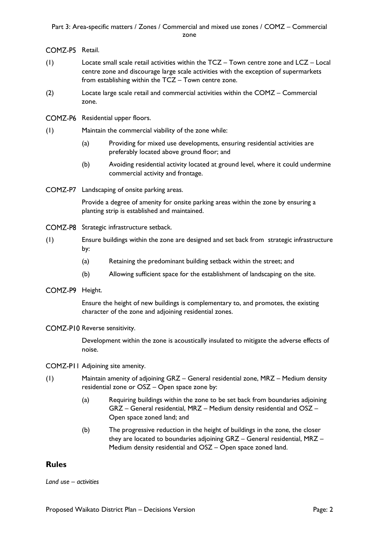#### Part 3: Area-specific matters / Zones / Commercial and mixed use zones / COMZ – Commercial zone

#### COMZ-P5 Retail.

- (1) Locate small scale retail activities within the TCZ Town centre zone and LCZ Local centre zone and discourage large scale activities with the exception of supermarkets from establishing within the TCZ – Town centre zone.
- (2) Locate large scale retail and commercial activities within the COMZ Commercial zone.
- COMZ-P6 Residential upper floors.
- (1) Maintain the commercial viability of the zone while:
	- (a) Providing for mixed use developments, ensuring residential activities are preferably located above ground floor; and
	- (b) Avoiding residential activity located at ground level, where it could undermine commercial activity and frontage.
- COMZ-P7 Landscaping of onsite parking areas.

Provide a degree of amenity for onsite parking areas within the zone by ensuring a planting strip is established and maintained.

- COMZ-P8 Strategic infrastructure setback.
- (1) Ensure buildings within the zone are designed and set back from strategic infrastructure by:
	- (a) Retaining the predominant building setback within the street; and
	- (b) Allowing sufficient space for the establishment of landscaping on the site.
- COMZ-P9 Height.

Ensure the height of new buildings is complementary to, and promotes, the existing character of the zone and adjoining residential zones.

COMZ-P10 Reverse sensitivity.

Development within the zone is acoustically insulated to mitigate the adverse effects of noise.

- COMZ-PII Adjoining site amenity.
- (1) Maintain amenity of adjoining GRZ General residential zone, MRZ Medium density residential zone or OSZ – Open space zone by:
	- (a) Requiring buildings within the zone to be set back from boundaries adjoining GRZ – General residential, MRZ – Medium density residential and OSZ – Open space zoned land; and
	- (b) The progressive reduction in the height of buildings in the zone, the closer they are located to boundaries adjoining GRZ – General residential, MRZ – Medium density residential and OSZ – Open space zoned land.

## **Rules**

*Land use – activities*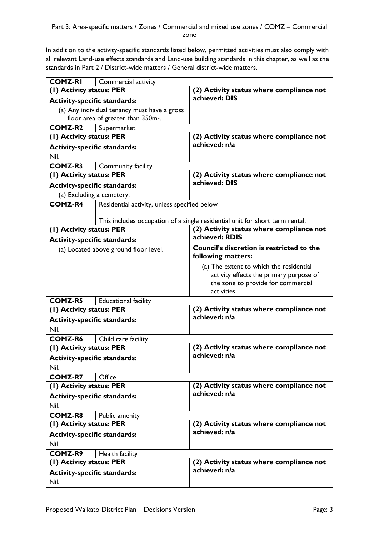In addition to the activity-specific standards listed below, permitted activities must also comply with all relevant Land-use effects standards and Land-use building standards in this chapter, as well as the standards in Part 2 / District-wide matters / General district-wide matters.

| <b>COMZ-RI</b>                      | Commercial activity                            |                                                                              |  |
|-------------------------------------|------------------------------------------------|------------------------------------------------------------------------------|--|
| (I) Activity status: PER            |                                                | (2) Activity status where compliance not                                     |  |
| <b>Activity-specific standards:</b> |                                                | achieved: DIS                                                                |  |
|                                     | (a) Any individual tenancy must have a gross   |                                                                              |  |
|                                     | floor area of greater than 350m <sup>2</sup> . |                                                                              |  |
| <b>COMZ-R2</b>                      | Supermarket                                    |                                                                              |  |
| (I) Activity status: PER            |                                                | (2) Activity status where compliance not                                     |  |
| <b>Activity-specific standards:</b> |                                                | achieved: n/a                                                                |  |
| Nil.                                |                                                |                                                                              |  |
| <b>COMZ-R3</b>                      | Community facility                             |                                                                              |  |
| (1) Activity status: PER            |                                                | (2) Activity status where compliance not                                     |  |
| <b>Activity-specific standards:</b> |                                                | achieved: DIS                                                                |  |
|                                     | (a) Excluding a cemetery.                      |                                                                              |  |
| <b>COMZ-R4</b>                      | Residential activity, unless specified below   |                                                                              |  |
|                                     |                                                |                                                                              |  |
|                                     |                                                | This includes occupation of a single residential unit for short term rental. |  |
| (1) Activity status: PER            |                                                | (2) Activity status where compliance not                                     |  |
| <b>Activity-specific standards:</b> |                                                | achieved: RDIS                                                               |  |
|                                     | (a) Located above ground floor level.          | <b>Council's discretion is restricted to the</b>                             |  |
|                                     |                                                | following matters:                                                           |  |
|                                     |                                                | (a) The extent to which the residential                                      |  |
|                                     |                                                | activity effects the primary purpose of                                      |  |
|                                     |                                                | the zone to provide for commercial                                           |  |
|                                     |                                                | activities.                                                                  |  |
| <b>COMZ-R5</b>                      | <b>Educational facility</b>                    |                                                                              |  |
| (1) Activity status: PER            |                                                | (2) Activity status where compliance not                                     |  |
| <b>Activity-specific standards:</b> |                                                | achieved: n/a                                                                |  |
| Nil.                                |                                                |                                                                              |  |
| COMZ-R6                             | Child care facility                            |                                                                              |  |
| (1) Activity status: PER            |                                                | (2) Activity status where compliance not                                     |  |
| <b>Activity-specific standards:</b> |                                                | achieved: n/a                                                                |  |
| Nil.                                |                                                |                                                                              |  |
| <b>COMZ-R7</b>                      | Office                                         |                                                                              |  |
| (1) Activity status: PER            |                                                | (2) Activity status where compliance not                                     |  |
| <b>Activity-specific standards:</b> |                                                | achieved: n/a                                                                |  |
| Nil.                                |                                                |                                                                              |  |
| <b>COMZ-R8</b>                      | Public amenity                                 |                                                                              |  |
| (1) Activity status: PER            |                                                | (2) Activity status where compliance not                                     |  |
| <b>Activity-specific standards:</b> |                                                | achieved: n/a                                                                |  |
| Nil.                                |                                                |                                                                              |  |
| <b>COMZ-R9</b><br>Health facility   |                                                |                                                                              |  |
| (I) Activity status: PER            |                                                | (2) Activity status where compliance not                                     |  |
| <b>Activity-specific standards:</b> |                                                | achieved: n/a                                                                |  |
| Nil.                                |                                                |                                                                              |  |
|                                     |                                                |                                                                              |  |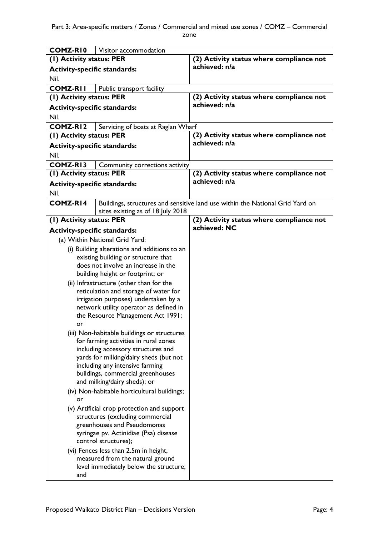| COMZ-RIO                                                        |                                                                                      |                                                                               |
|-----------------------------------------------------------------|--------------------------------------------------------------------------------------|-------------------------------------------------------------------------------|
| (I) Activity status: PER                                        | Visitor accommodation                                                                | (2) Activity status where compliance not                                      |
|                                                                 |                                                                                      | achieved: n/a                                                                 |
| <b>Activity-specific standards:</b>                             |                                                                                      |                                                                               |
| Nil.                                                            |                                                                                      |                                                                               |
| <b>COMZ-RII</b><br>(1) Activity status: PER                     | Public transport facility                                                            | (2) Activity status where compliance not                                      |
|                                                                 |                                                                                      | achieved: n/a                                                                 |
| <b>Activity-specific standards:</b>                             |                                                                                      |                                                                               |
| Nil.                                                            |                                                                                      |                                                                               |
| <b>COMZ-RI2</b>                                                 | Servicing of boats at Raglan Wharf                                                   | (2) Activity status where compliance not                                      |
| (1) Activity status: PER                                        |                                                                                      | achieved: n/a                                                                 |
| <b>Activity-specific standards:</b>                             |                                                                                      |                                                                               |
| Nil.                                                            |                                                                                      |                                                                               |
| <b>COMZ-RI3</b>                                                 | Community corrections activity                                                       | (2) Activity status where compliance not                                      |
| (1) Activity status: PER                                        |                                                                                      | achieved: n/a                                                                 |
| <b>Activity-specific standards:</b>                             |                                                                                      |                                                                               |
| Nil.                                                            |                                                                                      |                                                                               |
| <b>COMZ-RI4</b>                                                 |                                                                                      | Buildings, structures and sensitive land use within the National Grid Yard on |
| (1) Activity status: PER                                        | sites existing as of 18 July 2018                                                    | (2) Activity status where compliance not                                      |
| <b>Activity-specific standards:</b>                             |                                                                                      | achieved: NC                                                                  |
|                                                                 | (a) Within National Grid Yard:                                                       |                                                                               |
|                                                                 |                                                                                      |                                                                               |
|                                                                 | (i) Building alterations and additions to an<br>existing building or structure that  |                                                                               |
|                                                                 | does not involve an increase in the                                                  |                                                                               |
|                                                                 | building height or footprint; or                                                     |                                                                               |
|                                                                 | (ii) Infrastructure (other than for the                                              |                                                                               |
|                                                                 | reticulation and storage of water for                                                |                                                                               |
|                                                                 | irrigation purposes) undertaken by a                                                 |                                                                               |
|                                                                 | network utility operator as defined in                                               |                                                                               |
|                                                                 | the Resource Management Act 1991;                                                    |                                                                               |
| or                                                              |                                                                                      |                                                                               |
|                                                                 | (iii) Non-habitable buildings or structures<br>for farming activities in rural zones |                                                                               |
|                                                                 | including accessory structures and                                                   |                                                                               |
|                                                                 | yards for milking/dairy sheds (but not                                               |                                                                               |
|                                                                 | including any intensive farming                                                      |                                                                               |
| buildings, commercial greenhouses                               |                                                                                      |                                                                               |
| and milking/dairy sheds); or                                    |                                                                                      |                                                                               |
| (iv) Non-habitable horticultural buildings;                     |                                                                                      |                                                                               |
| or                                                              |                                                                                      |                                                                               |
| (v) Artificial crop protection and support                      |                                                                                      |                                                                               |
| structures (excluding commercial<br>greenhouses and Pseudomonas |                                                                                      |                                                                               |
| syringae pv. Actinidiae (Psa) disease                           |                                                                                      |                                                                               |
| control structures);                                            |                                                                                      |                                                                               |
| (vi) Fences less than 2.5m in height,                           |                                                                                      |                                                                               |
| measured from the natural ground                                |                                                                                      |                                                                               |
| level immediately below the structure;                          |                                                                                      |                                                                               |
| and                                                             |                                                                                      |                                                                               |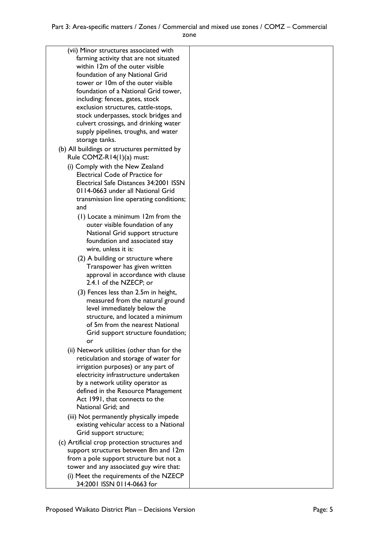| Electrical Safe Distances 34:2001 ISSN  |
|-----------------------------------------|
|                                         |
| transmission line operating conditions; |
|                                         |
|                                         |
|                                         |
|                                         |
|                                         |
|                                         |
|                                         |
| approval in accordance with clause      |
|                                         |
|                                         |
| measured from the natural ground        |
|                                         |
|                                         |
|                                         |
| Grid support structure foundation;      |
|                                         |
|                                         |
|                                         |
|                                         |
|                                         |
|                                         |
|                                         |
|                                         |
|                                         |
|                                         |
|                                         |
|                                         |
|                                         |
|                                         |
|                                         |
|                                         |
|                                         |
| existing vehicular access to a National |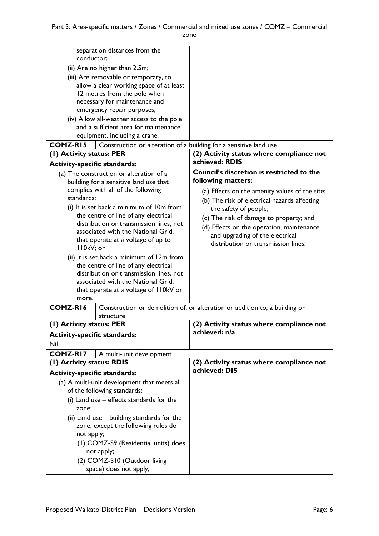|                                             | separation distances from the                                     |                                                                            |
|---------------------------------------------|-------------------------------------------------------------------|----------------------------------------------------------------------------|
| conductor;<br>(ii) Are no higher than 2.5m; |                                                                   |                                                                            |
| (iii) Are removable or temporary, to        |                                                                   |                                                                            |
|                                             | allow a clear working space of at least                           |                                                                            |
|                                             | 12 metres from the pole when                                      |                                                                            |
|                                             | necessary for maintenance and                                     |                                                                            |
|                                             | emergency repair purposes;                                        |                                                                            |
|                                             | (iv) Allow all-weather access to the pole                         |                                                                            |
|                                             | and a sufficient area for maintenance                             |                                                                            |
|                                             | equipment, including a crane.                                     |                                                                            |
| <b>COMZ-RI5</b>                             | Construction or alteration of a building for a sensitive land use |                                                                            |
| (1) Activity status: PER                    |                                                                   | (2) Activity status where compliance not                                   |
| <b>Activity-specific standards:</b>         |                                                                   | achieved: RDIS                                                             |
|                                             | (a) The construction or alteration of a                           | <b>Council's discretion is restricted to the</b>                           |
|                                             | building for a sensitive land use that                            | following matters:                                                         |
|                                             | complies with all of the following                                | (a) Effects on the amenity values of the site;                             |
| standards:                                  |                                                                   | (b) The risk of electrical hazards affecting                               |
|                                             | (i) It is set back a minimum of 10m from                          | the safety of people;                                                      |
|                                             | the centre of line of any electrical                              | (c) The risk of damage to property; and                                    |
|                                             | distribution or transmission lines, not                           | (d) Effects on the operation, maintenance                                  |
|                                             | associated with the National Grid,                                | and upgrading of the electrical                                            |
|                                             | that operate at a voltage of up to                                | distribution or transmission lines.                                        |
| II0kV; or                                   |                                                                   |                                                                            |
|                                             | (ii) It is set back a minimum of 12m from                         |                                                                            |
|                                             | the centre of line of any electrical                              |                                                                            |
|                                             | distribution or transmission lines, not                           |                                                                            |
|                                             | associated with the National Grid,                                |                                                                            |
| more.                                       | that operate at a voltage of 110kV or                             |                                                                            |
| COMZ-R16                                    |                                                                   | Construction or demolition of, or alteration or addition to, a building or |
|                                             | structure                                                         |                                                                            |
| (1) Activity status: PER                    |                                                                   | (2) Activity status where compliance not                                   |
| <b>Activity-specific standards:</b>         |                                                                   | achieved: n/a                                                              |
| Nil.                                        |                                                                   |                                                                            |
| <b>COMZ-RI7</b>                             | A multi-unit development                                          |                                                                            |
| (1) Activity status: RDIS                   |                                                                   | (2) Activity status where compliance not                                   |
| <b>Activity-specific standards:</b>         |                                                                   | achieved: DIS                                                              |
| (a) A multi-unit development that meets all |                                                                   |                                                                            |
| of the following standards:                 |                                                                   |                                                                            |
| (i) Land use $-$ effects standards for the  |                                                                   |                                                                            |
| zone;                                       |                                                                   |                                                                            |
| (ii) Land use – building standards for the  |                                                                   |                                                                            |
| zone, except the following rules do         |                                                                   |                                                                            |
| not apply;                                  |                                                                   |                                                                            |
| (1) COMZ-S9 (Residential units) does        |                                                                   |                                                                            |
| not apply;                                  |                                                                   |                                                                            |
| (2) COMZ-S10 (Outdoor living                |                                                                   |                                                                            |
| space) does not apply;                      |                                                                   |                                                                            |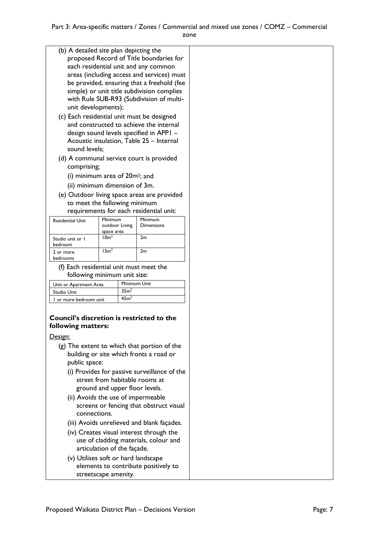- (b) A detailed site plan depicting the proposed Record of Title boundaries for each residential unit and any common areas (including access and services) must be provided, ensuring that a freehold (fee simple) or unit title subdivision complies with Rule SUB-R93 (Subdivision of multiunit developments);
- (c) Each residential unit must be designed and constructed to achieve the internal design sound levels specified in APP1 – Acoustic insulation, Table 25 – Internal sound levels;
- (d) A communal service court is provided comprising;
	- (i) minimum area of 20m2; and
	- (ii) minimum dimension of 3m.
- (e) Outdoor living space areas are provided to meet the following minimum requirements for each residential unit:

| <b>Residential Unit</b>     | Minimum<br>outdoor Living<br>space area | Minimum<br><b>Dimensions</b> |
|-----------------------------|-----------------------------------------|------------------------------|
| Studio unit or I<br>bedroom | 10 <sup>m²</sup>                        | 2m                           |
| 2 or more<br>bedrooms       | 15 <sup>m²</sup>                        | 2m                           |

(f) Each residential unit must meet the following minimum unit size:

| Unit or Apartment Area | Minimum Unit     |
|------------------------|------------------|
| Studio Unit            | 35m <sup>2</sup> |
| I or more bedroom unit | 45m <sup>2</sup> |

## **Council's discretion is restricted to the following matters:**

### Design:

- (g) The extent to which that portion of the building or site which fronts a road or public space:
	- (i) Provides for passive surveillance of the street from habitable rooms at ground and upper floor levels.
	- (ii) Avoids the use of impermeable screens or fencing that obstruct visual connections.
	- (iii) Avoids unrelieved and blank façades.
	- (iv) Creates visual interest through the use of cladding materials, colour and articulation of the façade.
	- (v) Utilises soft or hard landscape elements to contribute positively to streetscape amenity.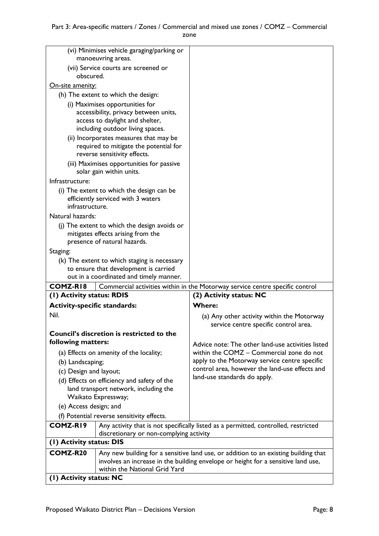| (vi) Minimises vehicle garaging/parking or                                           |                                                                                  |                                                                                           |
|--------------------------------------------------------------------------------------|----------------------------------------------------------------------------------|-------------------------------------------------------------------------------------------|
| manoeuvring areas.<br>(vii) Service courts are screened or                           |                                                                                  |                                                                                           |
| obscured.                                                                            |                                                                                  |                                                                                           |
| <u>On-site amenity:</u>                                                              |                                                                                  |                                                                                           |
|                                                                                      | (h) The extent to which the design:                                              |                                                                                           |
|                                                                                      | (i) Maximises opportunities for                                                  |                                                                                           |
|                                                                                      | accessibility, privacy between units,<br>access to daylight and shelter,         |                                                                                           |
|                                                                                      | including outdoor living spaces.                                                 |                                                                                           |
|                                                                                      | (ii) Incorporates measures that may be                                           |                                                                                           |
|                                                                                      | required to mitigate the potential for                                           |                                                                                           |
|                                                                                      | reverse sensitivity effects.                                                     |                                                                                           |
|                                                                                      | (iii) Maximises opportunities for passive<br>solar gain within units.            |                                                                                           |
| Infrastructure:                                                                      |                                                                                  |                                                                                           |
|                                                                                      | (i) The extent to which the design can be                                        |                                                                                           |
| infrastructure.                                                                      | efficiently serviced with 3 waters                                               |                                                                                           |
| Natural hazards:                                                                     |                                                                                  |                                                                                           |
|                                                                                      | (j) The extent to which the design avoids or                                     |                                                                                           |
|                                                                                      | mitigates effects arising from the                                               |                                                                                           |
|                                                                                      | presence of natural hazards.                                                     |                                                                                           |
| Staging:                                                                             |                                                                                  |                                                                                           |
|                                                                                      | (k) The extent to which staging is necessary                                     |                                                                                           |
|                                                                                      | to ensure that development is carried<br>out in a coordinated and timely manner. |                                                                                           |
| COMZ-RI8                                                                             |                                                                                  | Commercial activities within in the Motorway service centre specific control              |
| (1) Activity status: RDIS                                                            |                                                                                  | (2) Activity status: NC                                                                   |
| <b>Activity-specific standards:</b>                                                  |                                                                                  | <b>Where:</b>                                                                             |
| Nil.                                                                                 |                                                                                  | (a) Any other activity within the Motorway                                                |
|                                                                                      |                                                                                  | service centre specific control area.                                                     |
|                                                                                      | Council's discretion is restricted to the                                        |                                                                                           |
| following matters:                                                                   |                                                                                  | Advice note: The other land-use activities listed                                         |
|                                                                                      | (a) Effects on amenity of the locality;                                          | within the COMZ - Commercial zone do not<br>apply to the Motorway service centre specific |
| (b) Landscaping;<br>(c) Design and layout;                                           |                                                                                  | control area, however the land-use effects and                                            |
|                                                                                      |                                                                                  | land-use standards do apply.                                                              |
| (d) Effects on efficiency and safety of the<br>land transport network, including the |                                                                                  |                                                                                           |
| Waikato Expressway;                                                                  |                                                                                  |                                                                                           |
| (e) Access design; and                                                               |                                                                                  |                                                                                           |
| (f) Potential reverse sensitivity effects.                                           |                                                                                  |                                                                                           |
| <b>COMZ-RI9</b>                                                                      |                                                                                  | Any activity that is not specifically listed as a permitted, controlled, restricted       |
| discretionary or non-complying activity<br>(I) Activity status: DIS                  |                                                                                  |                                                                                           |
| COMZ-R20                                                                             |                                                                                  | Any new building for a sensitive land use, or addition to an existing building that       |
|                                                                                      |                                                                                  | involves an increase in the building envelope or height for a sensitive land use,         |
| within the National Grid Yard                                                        |                                                                                  |                                                                                           |
| (1) Activity status: NC                                                              |                                                                                  |                                                                                           |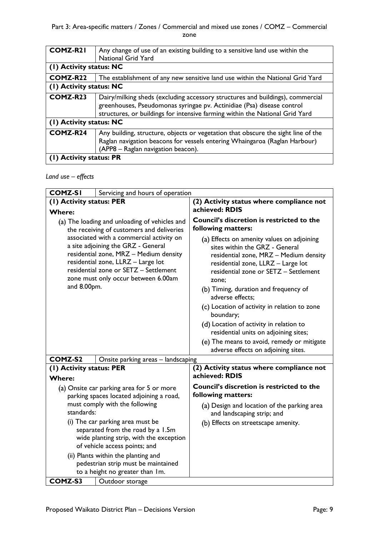| <b>COMZ-R21</b>         | Any change of use of an existing building to a sensitive land use within the<br><b>National Grid Yard</b>                                                                                                                                |  |  |
|-------------------------|------------------------------------------------------------------------------------------------------------------------------------------------------------------------------------------------------------------------------------------|--|--|
|                         | (1) Activity status: NC                                                                                                                                                                                                                  |  |  |
| COMZ-R <sub>22</sub>    | The establishment of any new sensitive land use within the National Grid Yard                                                                                                                                                            |  |  |
| (1) Activity status: NC |                                                                                                                                                                                                                                          |  |  |
| COMZ-R23                | Dairy/milking sheds (excluding accessory structures and buildings), commercial<br>greenhouses, Pseudomonas syringae pv. Actinidiae (Psa) disease control<br>structures, or buildings for intensive farming within the National Grid Yard |  |  |
| (1) Activity status: NC |                                                                                                                                                                                                                                          |  |  |
| COMZ-R24                | Any building, structure, objects or vegetation that obscure the sight line of the<br>Raglan navigation beacons for vessels entering Whaingaroa (Raglan Harbour)<br>(APP8 – Raglan navigation beacon).                                    |  |  |
| (1) Activity status: PR |                                                                                                                                                                                                                                          |  |  |

# *Land use – effects*

| <b>COMZ-SI</b>                                                                                                                                                                                                                                 | Servicing and hours of operation   |                                                                                                                                                                                                                |
|------------------------------------------------------------------------------------------------------------------------------------------------------------------------------------------------------------------------------------------------|------------------------------------|----------------------------------------------------------------------------------------------------------------------------------------------------------------------------------------------------------------|
| (I) Activity status: PER<br><b>Where:</b>                                                                                                                                                                                                      |                                    | (2) Activity status where compliance not<br>achieved: RDIS                                                                                                                                                     |
| (a) The loading and unloading of vehicles and<br>the receiving of customers and deliveries                                                                                                                                                     |                                    | Council's discretion is restricted to the<br>following matters:                                                                                                                                                |
| associated with a commercial activity on<br>a site adjoining the GRZ - General<br>residential zone, MRZ - Medium density<br>residential zone, LLRZ - Large lot<br>residential zone or SETZ - Settlement<br>zone must only occur between 6.00am |                                    | (a) Effects on amenity values on adjoining<br>sites within the GRZ - General<br>residential zone, MRZ - Medium density<br>residential zone, LLRZ - Large lot<br>residential zone or SETZ - Settlement<br>zone: |
| and 8.00pm.                                                                                                                                                                                                                                    |                                    | (b) Timing, duration and frequency of<br>adverse effects;                                                                                                                                                      |
|                                                                                                                                                                                                                                                |                                    | (c) Location of activity in relation to zone<br>boundary;                                                                                                                                                      |
|                                                                                                                                                                                                                                                |                                    | (d) Location of activity in relation to<br>residential units on adjoining sites;                                                                                                                               |
|                                                                                                                                                                                                                                                |                                    | (e) The means to avoid, remedy or mitigate<br>adverse effects on adjoining sites.                                                                                                                              |
| <b>COMZ-S2</b>                                                                                                                                                                                                                                 | Onsite parking areas - landscaping |                                                                                                                                                                                                                |
| (I) Activity status: PER                                                                                                                                                                                                                       |                                    | (2) Activity status where compliance not                                                                                                                                                                       |
| <b>Where:</b>                                                                                                                                                                                                                                  |                                    | achieved: RDIS                                                                                                                                                                                                 |
| (a) Onsite car parking area for 5 or more<br>parking spaces located adjoining a road,                                                                                                                                                          |                                    | Council's discretion is restricted to the<br>following matters:                                                                                                                                                |
| must comply with the following<br>standards:                                                                                                                                                                                                   |                                    | (a) Design and location of the parking area<br>and landscaping strip; and                                                                                                                                      |
| (i) The car parking area must be<br>separated from the road by a 1.5m<br>wide planting strip, with the exception<br>of vehicle access points; and                                                                                              |                                    | (b) Effects on streetscape amenity.                                                                                                                                                                            |
| (ii) Plants within the planting and<br>pedestrian strip must be maintained<br>to a height no greater than Im.                                                                                                                                  |                                    |                                                                                                                                                                                                                |
| COMZ-S3                                                                                                                                                                                                                                        | Outdoor storage                    |                                                                                                                                                                                                                |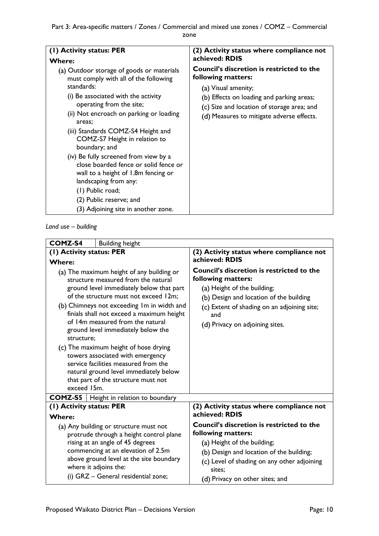| (1) Activity status: PER                                                                                                                                                                                                                                                                                                                                                                                                                                                                                                                                 | (2) Activity status where compliance not                                                                                                                                                                                              |
|----------------------------------------------------------------------------------------------------------------------------------------------------------------------------------------------------------------------------------------------------------------------------------------------------------------------------------------------------------------------------------------------------------------------------------------------------------------------------------------------------------------------------------------------------------|---------------------------------------------------------------------------------------------------------------------------------------------------------------------------------------------------------------------------------------|
| Where:                                                                                                                                                                                                                                                                                                                                                                                                                                                                                                                                                   | achieved: RDIS                                                                                                                                                                                                                        |
| (a) Outdoor storage of goods or materials<br>must comply with all of the following<br>standards:<br>(i) Be associated with the activity<br>operating from the site;<br>(ii) Not encroach on parking or loading<br>areas:<br>(iii) Standards COMZ-S4 Height and<br>COMZ-S7 Height in relation to<br>boundary; and<br>(iv) Be fully screened from view by a<br>close boarded fence or solid fence or<br>wall to a height of 1.8m fencing or<br>landscaping from any:<br>(1) Public road;<br>(2) Public reserve; and<br>(3) Adjoining site in another zone. | <b>Council's discretion is restricted to the</b><br>following matters:<br>(a) Visual amenity;<br>(b) Effects on loading and parking areas;<br>(c) Size and location of storage area; and<br>(d) Measures to mitigate adverse effects. |

*Land use – building*

| <b>COMZ-S4</b><br><b>Building height</b>                                                                                                                                                                                                                                                                                                                                                                                                                                                                                                                                      |                                                                                                                                                                                                                                           |  |
|-------------------------------------------------------------------------------------------------------------------------------------------------------------------------------------------------------------------------------------------------------------------------------------------------------------------------------------------------------------------------------------------------------------------------------------------------------------------------------------------------------------------------------------------------------------------------------|-------------------------------------------------------------------------------------------------------------------------------------------------------------------------------------------------------------------------------------------|--|
| (I) Activity status: PER                                                                                                                                                                                                                                                                                                                                                                                                                                                                                                                                                      | (2) Activity status where compliance not                                                                                                                                                                                                  |  |
| <b>Where:</b>                                                                                                                                                                                                                                                                                                                                                                                                                                                                                                                                                                 | achieved: RDIS                                                                                                                                                                                                                            |  |
| (a) The maximum height of any building or<br>structure measured from the natural<br>ground level immediately below that part<br>of the structure must not exceed 12m;<br>(b) Chimneys not exceeding Im in width and<br>finials shall not exceed a maximum height<br>of 14m measured from the natural<br>ground level immediately below the<br>structure:<br>(c) The maximum height of hose drying<br>towers associated with emergency<br>service facilities measured from the<br>natural ground level immediately below<br>that part of the structure must not<br>exceed 15m. | <b>Council's discretion is restricted to the</b><br>following matters:<br>(a) Height of the building;<br>(b) Design and location of the building<br>(c) Extent of shading on an adjoining site;<br>and<br>(d) Privacy on adjoining sites. |  |
| <b>COMZ-S5</b>   Height in relation to boundary                                                                                                                                                                                                                                                                                                                                                                                                                                                                                                                               |                                                                                                                                                                                                                                           |  |
| (I) Activity status: PER                                                                                                                                                                                                                                                                                                                                                                                                                                                                                                                                                      | (2) Activity status where compliance not                                                                                                                                                                                                  |  |
| <b>Where:</b>                                                                                                                                                                                                                                                                                                                                                                                                                                                                                                                                                                 | achieved: RDIS                                                                                                                                                                                                                            |  |
| (a) Any building or structure must not<br>protrude through a height control plane                                                                                                                                                                                                                                                                                                                                                                                                                                                                                             | <b>Council's discretion is restricted to the</b><br>following matters:                                                                                                                                                                    |  |
| rising at an angle of 45 degrees                                                                                                                                                                                                                                                                                                                                                                                                                                                                                                                                              | (a) Height of the building;                                                                                                                                                                                                               |  |
| commencing at an elevation of 2.5m<br>above ground level at the site boundary<br>where it adjoins the:<br>(i) GRZ - General residential zone;                                                                                                                                                                                                                                                                                                                                                                                                                                 | (b) Design and location of the building;<br>(c) Level of shading on any other adjoining<br>sites:<br>(d) Privacy on other sites; and                                                                                                      |  |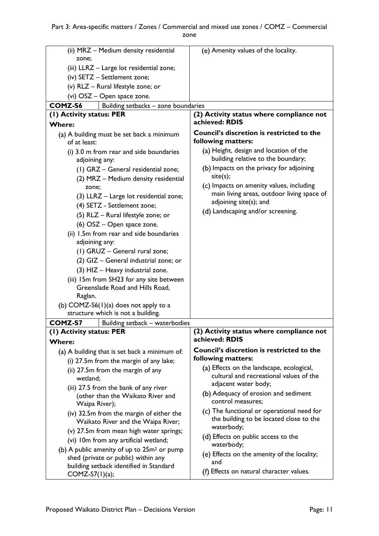| (ii) MRZ - Medium density residential                                          | (e) Amenity values of the locality.                                                   |
|--------------------------------------------------------------------------------|---------------------------------------------------------------------------------------|
| zone;                                                                          |                                                                                       |
| (iii) LLRZ - Large lot residential zone;                                       |                                                                                       |
| (iv) SETZ - Settlement zone;                                                   |                                                                                       |
| (v) RLZ - Rural lifestyle zone; or                                             |                                                                                       |
| (vi) OSZ - Open space zone.                                                    |                                                                                       |
| COMZ-S6<br>Building setbacks - zone boundaries                                 |                                                                                       |
| (1) Activity status: PER                                                       | (2) Activity status where compliance not                                              |
| <b>Where:</b>                                                                  | achieved: RDIS                                                                        |
|                                                                                | <b>Council's discretion is restricted to the</b>                                      |
| (a) A building must be set back a minimum<br>of at least:                      | following matters:                                                                    |
| (i) 3.0 m from rear and side boundaries<br>adjoining any:                      | (a) Height, design and location of the<br>building relative to the boundary;          |
| (1) GRZ - General residential zone;                                            | (b) Impacts on the privacy for adjoining<br>site(s);                                  |
| (2) MRZ - Medium density residential                                           | (c) Impacts on amenity values, including                                              |
| zone;<br>(3) LLRZ - Large lot residential zone;                                | main living areas, outdoor living space of<br>adjoining site(s); and                  |
| (4) SETZ - Settlement zone;                                                    | (d) Landscaping and/or screening.                                                     |
| (5) RLZ - Rural lifestyle zone; or                                             |                                                                                       |
| (6) OSZ – Open space zone.                                                     |                                                                                       |
| (ii) 1.5m from rear and side boundaries<br>adjoining any:                      |                                                                                       |
| (1) GRUZ - General rural zone;                                                 |                                                                                       |
| (2) GIZ - General industrial zone; or                                          |                                                                                       |
| (3) HIZ - Heavy industrial zone.                                               |                                                                                       |
| (iii) 15m from SH23 for any site between                                       |                                                                                       |
| Greenslade Road and Hills Road,                                                |                                                                                       |
| Raglan.                                                                        |                                                                                       |
| (b) COMZ-S6(1)(a) does not apply to a                                          |                                                                                       |
| structure which is not a building.                                             |                                                                                       |
| <b>COMZ-S7</b><br>Building setback - waterbodies                               |                                                                                       |
| (I) Activity status: PER                                                       | (2) Activity status where compliance not                                              |
| <b>Where:</b>                                                                  | achieved: RDIS                                                                        |
| (a) A building that is set back a minimum of:                                  | <b>Council's discretion is restricted to the</b>                                      |
| (i) 27.5m from the margin of any lake;                                         | following matters:                                                                    |
| (ii) 27.5m from the margin of any                                              | (a) Effects on the landscape, ecological,<br>cultural and recreational values of the  |
| wetland;                                                                       | adjacent water body;                                                                  |
| (iii) 27.5 from the bank of any river                                          | (b) Adequacy of erosion and sediment                                                  |
| (other than the Waikato River and<br>Waipa River);                             | control measures;                                                                     |
| (iv) 32.5m from the margin of either the<br>Waikato River and the Waipa River; | (c) The functional or operational need for<br>the building to be located close to the |
| (v) 27.5m from mean high water springs;                                        | waterbody;                                                                            |
| (vi) 10m from any artificial wetland;                                          | (d) Effects on public access to the                                                   |
| (b) A public amenity of up to $25m^2$ or pump                                  | waterbody;                                                                            |
| shed (private or public) within any                                            | (e) Effects on the amenity of the locality;<br>and                                    |
| building setback identified in Standard                                        | (f) Effects on natural character values.                                              |
| $COMZ-S7(1)(a);$                                                               |                                                                                       |